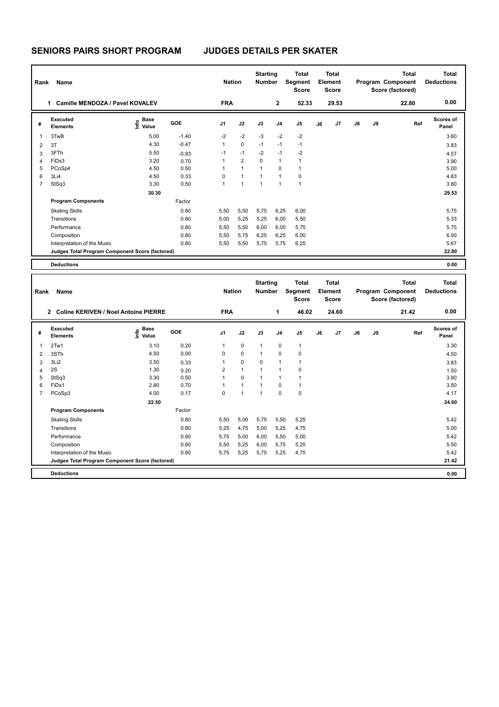**SENIORS PAIRS SHORT PROGRAM JUDGES DETAILS PER SKATER**

| Rank           | Name                                            |                                  |         | <b>Nation</b>  |                | <b>Starting</b><br><b>Number</b> |                | <b>Total</b><br>Segment<br><b>Score</b> |    | <b>Total</b><br>Element<br><b>Score</b> |               |    | <b>Total</b><br>Program Component<br>Score (factored) | Total<br><b>Deductions</b> |
|----------------|-------------------------------------------------|----------------------------------|---------|----------------|----------------|----------------------------------|----------------|-----------------------------------------|----|-----------------------------------------|---------------|----|-------------------------------------------------------|----------------------------|
|                | Camille MENDOZA / Pavel KOVALEV<br>1            |                                  |         | <b>FRA</b>     |                |                                  | $\overline{2}$ | 52.33                                   |    | 29.53                                   |               |    | 22.80                                                 | 0.00                       |
| #              | Executed<br><b>Elements</b>                     | <b>Base</b><br>e Base<br>⊆ Value | GOE     | J <sub>1</sub> | J2             | J3                               | J <sub>4</sub> | J <sub>5</sub>                          | J6 | J <sub>7</sub>                          | $\mathsf{J}8$ | J9 | Ref                                                   | <b>Scores of</b><br>Panel  |
| $\mathbf{1}$   | 3TwB                                            | 5.00                             | $-1.40$ | $-2$           | $-2$           | $-3$                             | $-2$           | $-2$                                    |    |                                         |               |    |                                                       | 3.60                       |
| 2              | 3T                                              | 4.30                             | $-0.47$ | $\mathbf{1}$   | $\mathbf 0$    | $-1$                             | $-1$           | $-1$                                    |    |                                         |               |    |                                                       | 3.83                       |
| 3              | 3FTh                                            | 5.50                             | $-0.93$ | $-1$           | $-1$           | $-2$                             | $-1$           | $-2$                                    |    |                                         |               |    |                                                       | 4.57                       |
| $\overline{4}$ | FiDs3                                           | 3.20                             | 0.70    | 1              | $\overline{2}$ | $\mathbf 0$                      | $\mathbf{1}$   | $\mathbf{1}$                            |    |                                         |               |    |                                                       | 3.90                       |
| 5              | PCoSp4                                          | 4.50                             | 0.50    | 1              | $\mathbf{1}$   | $\mathbf{1}$                     | $\mathbf 0$    | $\overline{1}$                          |    |                                         |               |    |                                                       | 5.00                       |
| 6              | 3Li4                                            | 4.50                             | 0.33    | 0              | $\mathbf{1}$   | $\mathbf{1}$                     | $\mathbf{1}$   | 0                                       |    |                                         |               |    |                                                       | 4.83                       |
| $\overline{7}$ | StSq3                                           | 3.30                             | 0.50    | 1              | $\mathbf{1}$   | $\mathbf{1}$                     | $\mathbf{1}$   | $\overline{1}$                          |    |                                         |               |    |                                                       | 3.80                       |
|                |                                                 | 30.30                            |         |                |                |                                  |                |                                         |    |                                         |               |    |                                                       | 29.53                      |
|                | <b>Program Components</b>                       |                                  | Factor  |                |                |                                  |                |                                         |    |                                         |               |    |                                                       |                            |
|                | <b>Skating Skills</b>                           |                                  | 0.80    | 5,50           | 5,50           | 5,75                             | 6,25           | 6,00                                    |    |                                         |               |    |                                                       | 5.75                       |
|                | Transitions                                     |                                  | 0.80    | 5,00           | 5,25           | 5,25                             | 6,00           | 5,50                                    |    |                                         |               |    |                                                       | 5.33                       |
|                | Performance                                     |                                  | 0.80    | 5,50           | 5,50           | 6,00                             | 6,00           | 5,75                                    |    |                                         |               |    |                                                       | 5.75                       |
|                | Composition                                     |                                  | 0.80    | 5,50           | 5,75           | 6,25                             | 6,25           | 6,00                                    |    |                                         |               |    |                                                       | 6.00                       |
|                | Interpretation of the Music                     |                                  | 0.80    | 5,50           | 5,50           | 5,75                             | 5,75           | 6,25                                    |    |                                         |               |    |                                                       | 5.67                       |
|                | Judges Total Program Component Score (factored) |                                  |         |                |                |                                  |                |                                         |    |                                         |               |    |                                                       | 22.80                      |
|                | <b>Deductions</b>                               |                                  |         |                |                |                                  |                |                                         |    |                                         |               |    |                                                       | 0.00                       |

| Rank           | <b>Name</b>                                                   |                                             |        | <b>Nation</b>  |              | <b>Starting</b><br><b>Number</b> |             | <b>Total</b><br>Segment<br><b>Score</b> |    | <b>Total</b><br>Element<br><b>Score</b> |    |    | <b>Total</b><br>Program Component<br>Score (factored) | <b>Total</b><br><b>Deductions</b> |
|----------------|---------------------------------------------------------------|---------------------------------------------|--------|----------------|--------------|----------------------------------|-------------|-----------------------------------------|----|-----------------------------------------|----|----|-------------------------------------------------------|-----------------------------------|
|                | <b>Coline KERIVEN / Noel Antoine PIERRE</b><br>$\overline{2}$ |                                             |        | <b>FRA</b>     |              |                                  | 1           | 46.02                                   |    | 24.60                                   |    |    | 21.42                                                 | 0.00                              |
| #              | Executed<br><b>Elements</b>                                   | <b>Base</b><br>e <sup>Base</sup><br>⊆ Value | GOE    | J <sub>1</sub> | J2           | J3                               | J4          | J <sub>5</sub>                          | J6 | J7                                      | J8 | J9 | Ref                                                   | <b>Scores of</b><br>Panel         |
| 1              | 2Tw1                                                          | 3.10                                        | 0.20   | $\mathbf{1}$   | $\mathbf 0$  | $\mathbf{1}$                     | $\mathbf 0$ | $\mathbf{1}$                            |    |                                         |    |    |                                                       | 3.30                              |
| 2              | 3STh                                                          | 4.50                                        | 0.00   | 0              | $\mathbf 0$  | $\mathbf{1}$                     | $\mathbf 0$ | $\pmb{0}$                               |    |                                         |    |    |                                                       | 4.50                              |
| 3              | 3Li2                                                          | 3.50                                        | 0.33   | 1              | 0            | $\mathbf 0$                      | 1           | $\mathbf{1}$                            |    |                                         |    |    |                                                       | 3.83                              |
| 4              | 2S                                                            | 1.30                                        | 0.20   | $\overline{2}$ | $\mathbf{1}$ | $\mathbf{1}$                     | 1           | 0                                       |    |                                         |    |    |                                                       | 1.50                              |
| 5              | StSq3                                                         | 3.30                                        | 0.50   | 1              | $\mathbf 0$  | $\mathbf{1}$                     | 1           | $\overline{1}$                          |    |                                         |    |    |                                                       | 3.80                              |
| 6              | FiDs1                                                         | 2.80                                        | 0.70   | 1              | $\mathbf{1}$ | $\mathbf{1}$                     | $\Omega$    | $\mathbf{1}$                            |    |                                         |    |    |                                                       | 3.50                              |
| $\overline{7}$ | PCoSp3                                                        | 4.00                                        | 0.17   | 0              | $\mathbf{1}$ | 1                                | $\Omega$    | $\mathbf 0$                             |    |                                         |    |    |                                                       | 4.17                              |
|                |                                                               | 22.50                                       |        |                |              |                                  |             |                                         |    |                                         |    |    |                                                       | 24.60                             |
|                | <b>Program Components</b>                                     |                                             | Factor |                |              |                                  |             |                                         |    |                                         |    |    |                                                       |                                   |
|                | <b>Skating Skills</b>                                         |                                             | 0.80   | 5,50           | 5,00         | 5,75                             | 5,50        | 5,25                                    |    |                                         |    |    |                                                       | 5.42                              |
|                | Transitions                                                   |                                             | 0.80   | 5,25           | 4,75         | 5,00                             | 5,25        | 4,75                                    |    |                                         |    |    |                                                       | 5.00                              |
|                | Performance                                                   |                                             | 0.80   | 5.75           | 5,00         | 6,00                             | 5,50        | 5,00                                    |    |                                         |    |    |                                                       | 5.42                              |
|                | Composition                                                   |                                             | 0.80   | 5,50           | 5,25         | 6,00                             | 5,75        | 5,25                                    |    |                                         |    |    |                                                       | 5.50                              |
|                | Interpretation of the Music                                   |                                             | 0.80   | 5.75           | 5,25         | 5,75                             | 5,25        | 4,75                                    |    |                                         |    |    |                                                       | 5.42                              |
|                | Judges Total Program Component Score (factored)               |                                             |        |                |              |                                  |             |                                         |    |                                         |    |    |                                                       | 21.42                             |
|                | <b>Deductions</b>                                             |                                             |        |                |              |                                  |             |                                         |    |                                         |    |    |                                                       | 0.00                              |